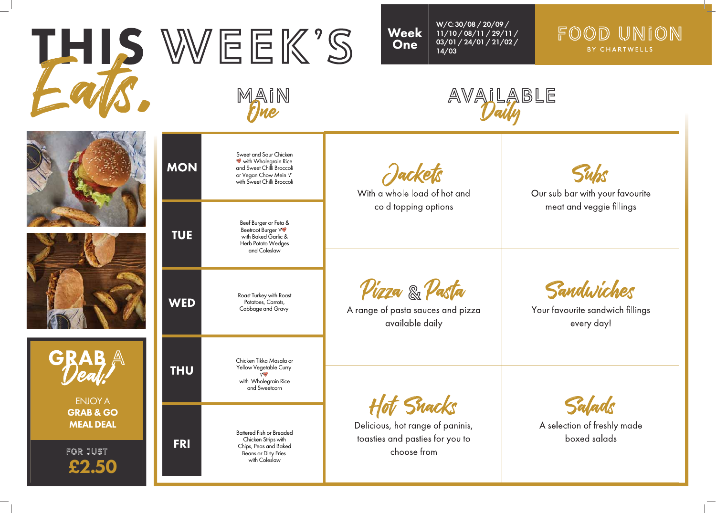

## FOOD UNION BY CHARTWELLS





Our sub bar with your favourite meat and veggie fillings

Sandwiches

Your favourite sandwich fillings every day!

Salads

A selection of freshly made boxed salads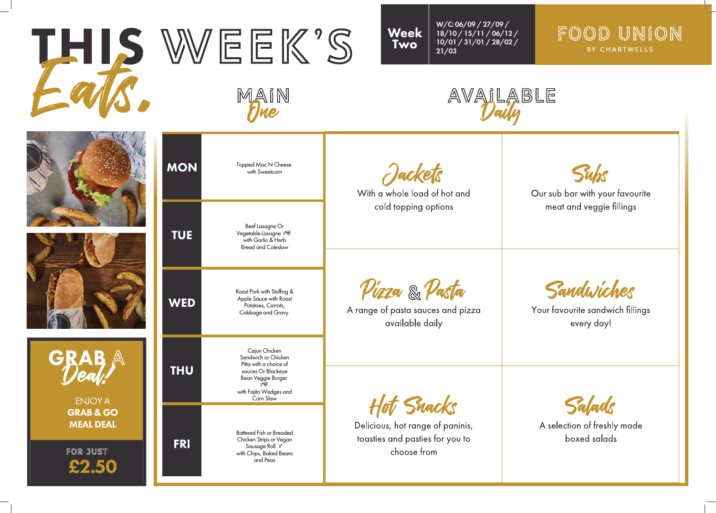







FOR JUST £2.50

| <b>MON</b> | Topped Mac N Cheese<br>with Sweetcorn                                                                                                                     | Jacket.<br>With a whole load of hot and<br>cold topping options                                |
|------------|-----------------------------------------------------------------------------------------------------------------------------------------------------------|------------------------------------------------------------------------------------------------|
| TUE        | Beef Lasagne Or<br>Vegetable Lasagne V<br>with Garlic & Herb<br><b>Bread and Coleslaw</b>                                                                 |                                                                                                |
| WED        | Roast Pork with Stuffing &<br>Apple Sauce with Roast<br>Potatoes, Carrots,<br>Cabbage and Gravy                                                           | <i><b>Pizza &amp; Pasta</b></i><br>A range of pasta sauces and pizza<br>available daily        |
| THU        | Cajun Chicken<br>Sandwich or Chicken<br>Pitta with a choice of<br>sauces Or Blackeye<br>Bean Veggie Burger<br>Viny<br>with Fajita Wedges and<br>Corn Slaw |                                                                                                |
| FRI        | <b>Battered Fish or Breaded</b><br>Chicken Strips or Vegan<br>Sausage Roll Y<br>with Chips, Baked Beans<br>and Peas                                       | F Snacks<br>Delicious, hot range of paninis,<br>toasties and pasties for you to<br>choose from |

## FOOD UNION BY CHARTWELLS





Our sub bar with your favourite meat and veggie fillings

Sandwiches

Your favourite sandwich fillings every day!

Salads

A selection of freshly made boxed salads